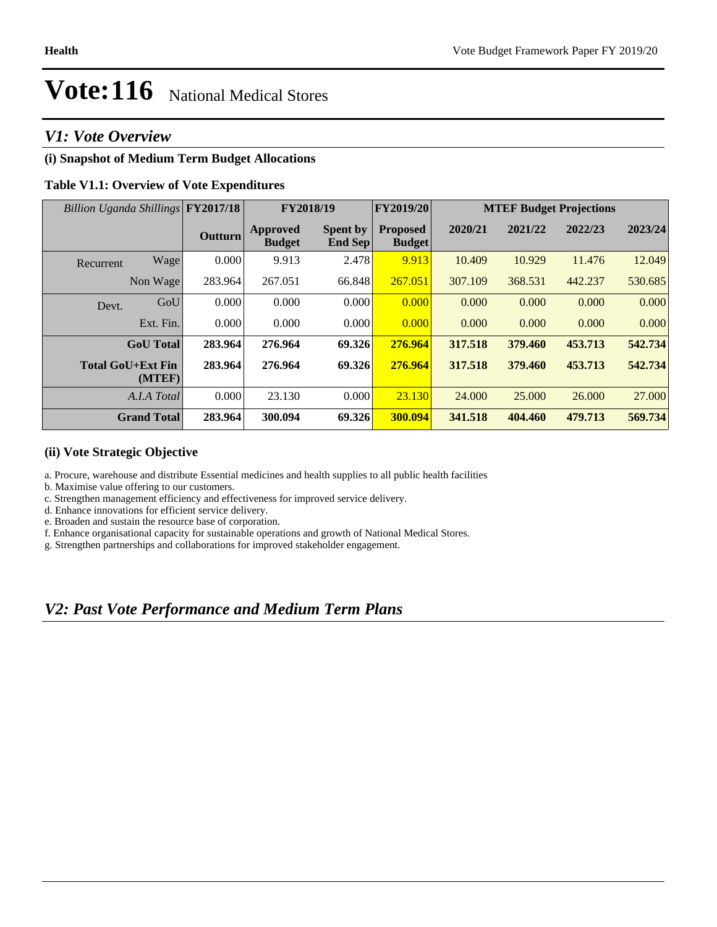## **Vote:116** National Medical Stores

## *V1: Vote Overview*

## **(i) Snapshot of Medium Term Budget Allocations**

## **Table V1.1: Overview of Vote Expenditures**

| Billion Uganda Shillings FY2017/18 |                |                                  | <b>FY2018/19</b>                  | FY2019/20                        |         | <b>MTEF Budget Projections</b> |         |         |  |
|------------------------------------|----------------|----------------------------------|-----------------------------------|----------------------------------|---------|--------------------------------|---------|---------|--|
|                                    | <b>Outturn</b> | <b>Approved</b><br><b>Budget</b> | <b>Spent by</b><br><b>End Sep</b> | <b>Proposed</b><br><b>Budget</b> | 2020/21 | 2021/22                        | 2022/23 | 2023/24 |  |
| Wage<br>Recurrent                  | 0.000          | 9.913                            | 2.478                             | 9.913                            | 10.409  | 10.929                         | 11.476  | 12.049  |  |
| Non Wage                           | 283.964        | 267.051                          | 66.848                            | 267.051                          | 307.109 | 368.531                        | 442.237 | 530.685 |  |
| Devt.                              | 0.000<br>GoU   | 0.000                            | 0.000                             | 0.000                            | 0.000   | 0.000                          | 0.000   | 0.000   |  |
| Ext. Fin.                          | 0.000          | 0.000                            | 0.000                             | 0.000                            | 0.000   | 0.000                          | 0.000   | 0.000   |  |
| <b>GoU</b> Total                   | 283.964        | 276.964                          | 69.326                            | 276.964                          | 317.518 | 379.460                        | 453.713 | 542.734 |  |
| <b>Total GoU+Ext Fin</b><br>(MTEF) | 283.964        | 276.964                          | 69.326                            | 276.964                          | 317.518 | 379.460                        | 453.713 | 542.734 |  |
| A.I.A Total                        | 0.000          | 23.130                           | 0.000                             | 23.130                           | 24,000  | 25,000                         | 26,000  | 27,000  |  |
| <b>Grand Total</b>                 | 283.964        | 300.094                          | 69.326                            | 300.094                          | 341.518 | 404.460                        | 479.713 | 569.734 |  |

#### **(ii) Vote Strategic Objective**

a. Procure, warehouse and distribute Essential medicines and health supplies to all public health facilities

b. Maximise value offering to our customers.

c. Strengthen management efficiency and effectiveness for improved service delivery.

d. Enhance innovations for efficient service delivery.

e. Broaden and sustain the resource base of corporation.

f. Enhance organisational capacity for sustainable operations and growth of National Medical Stores.

g. Strengthen partnerships and collaborations for improved stakeholder engagement.

## *V2: Past Vote Performance and Medium Term Plans*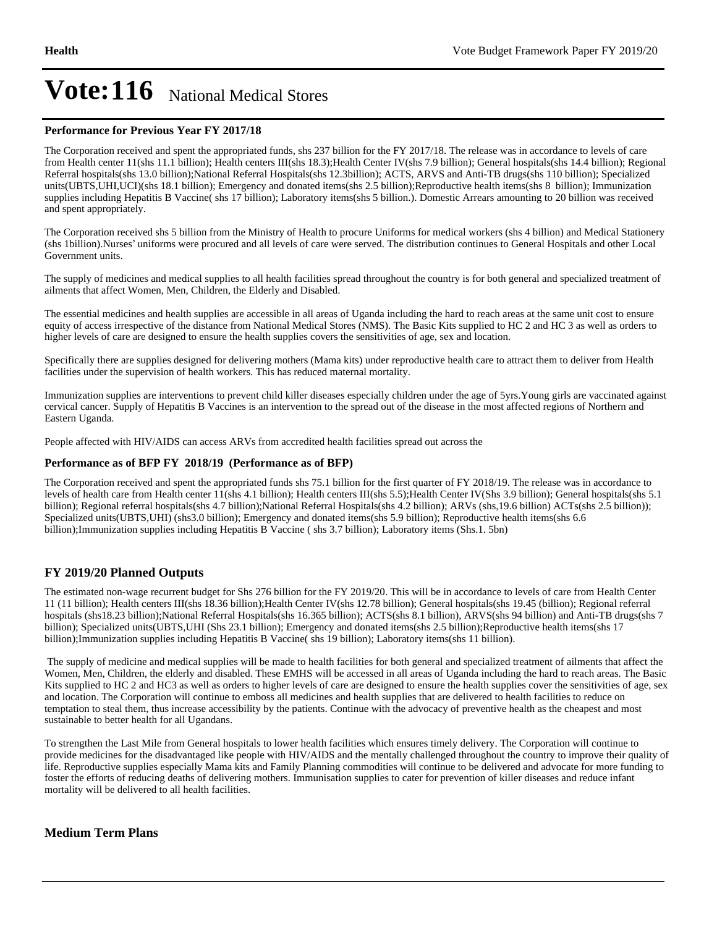## Vote: 116 National Medical Stores

#### **Performance for Previous Year FY 2017/18**

The Corporation received and spent the appropriated funds, shs 237 billion for the FY 2017/18. The release was in accordance to levels of care from Health center 11(shs 11.1 billion); Health centers III(shs 18.3);Health Center IV(shs 7.9 billion); General hospitals(shs 14.4 billion); Regional Referral hospitals(shs 13.0 billion);National Referral Hospitals(shs 12.3billion); ACTS, ARVS and Anti-TB drugs(shs 110 billion); Specialized units(UBTS,UHI,UCI)(shs 18.1 billion); Emergency and donated items(shs 2.5 billion);Reproductive health items(shs 8 billion); Immunization supplies including Hepatitis B Vaccine( shs 17 billion); Laboratory items(shs 5 billion.). Domestic Arrears amounting to 20 billion was received and spent appropriately.

The Corporation received shs 5 billion from the Ministry of Health to procure Uniforms for medical workers (shs 4 billion) and Medical Stationery (shs 1billion).Nurses' uniforms were procured and all levels of care were served. The distribution continues to General Hospitals and other Local Government units.

The supply of medicines and medical supplies to all health facilities spread throughout the country is for both general and specialized treatment of ailments that affect Women, Men, Children, the Elderly and Disabled.

The essential medicines and health supplies are accessible in all areas of Uganda including the hard to reach areas at the same unit cost to ensure equity of access irrespective of the distance from National Medical Stores (NMS). The Basic Kits supplied to HC 2 and HC 3 as well as orders to higher levels of care are designed to ensure the health supplies covers the sensitivities of age, sex and location.

Specifically there are supplies designed for delivering mothers (Mama kits) under reproductive health care to attract them to deliver from Health facilities under the supervision of health workers. This has reduced maternal mortality.

Immunization supplies are interventions to prevent child killer diseases especially children under the age of 5yrs.Young girls are vaccinated against cervical cancer. Supply of Hepatitis B Vaccines is an intervention to the spread out of the disease in the most affected regions of Northern and Eastern Uganda.

People affected with HIV/AIDS can access ARVs from accredited health facilities spread out across the

#### **Performance as of BFP FY 2018/19 (Performance as of BFP)**

The Corporation received and spent the appropriated funds shs 75.1 billion for the first quarter of FY 2018/19. The release was in accordance to levels of health care from Health center 11(shs 4.1 billion); Health centers III(shs 5.5); Health Center IV(Shs 3.9 billion); General hospitals(shs 5.1 billion); Regional referral hospitals(shs 4.7 billion);National Referral Hospitals(shs 4.2 billion); ARVs (shs,19.6 billion) ACTs(shs 2.5 billion)); Specialized units(UBTS,UHI) (shs3.0 billion); Emergency and donated items(shs 5.9 billion); Reproductive health items(shs 6.6 billion);Immunization supplies including Hepatitis B Vaccine ( shs 3.7 billion); Laboratory items (Shs.1. 5bn)

#### **FY 2019/20 Planned Outputs**

The estimated non-wage recurrent budget for Shs 276 billion for the FY 2019/20. This will be in accordance to levels of care from Health Center 11 (11 billion); Health centers III(shs 18.36 billion);Health Center IV(shs 12.78 billion); General hospitals(shs 19.45 (billion); Regional referral hospitals (shs18.23 billion);National Referral Hospitals(shs 16.365 billion); ACTS(shs 8.1 billion), ARVS(shs 94 billion) and Anti-TB drugs(shs 7 billion); Specialized units(UBTS,UHI (Shs 23.1 billion); Emergency and donated items(shs 2.5 billion);Reproductive health items(shs 17 billion);Immunization supplies including Hepatitis B Vaccine( shs 19 billion); Laboratory items(shs 11 billion).

 The supply of medicine and medical supplies will be made to health facilities for both general and specialized treatment of ailments that affect the Women, Men, Children, the elderly and disabled. These EMHS will be accessed in all areas of Uganda including the hard to reach areas. The Basic Kits supplied to HC 2 and HC3 as well as orders to higher levels of care are designed to ensure the health supplies cover the sensitivities of age, sex and location. The Corporation will continue to emboss all medicines and health supplies that are delivered to health facilities to reduce on temptation to steal them, thus increase accessibility by the patients. Continue with the advocacy of preventive health as the cheapest and most sustainable to better health for all Ugandans.

To strengthen the Last Mile from General hospitals to lower health facilities which ensures timely delivery. The Corporation will continue to provide medicines for the disadvantaged like people with HIV/AIDS and the mentally challenged throughout the country to improve their quality of life. Reproductive supplies especially Mama kits and Family Planning commodities will continue to be delivered and advocate for more funding to foster the efforts of reducing deaths of delivering mothers. Immunisation supplies to cater for prevention of killer diseases and reduce infant mortality will be delivered to all health facilities.

#### **Medium Term Plans**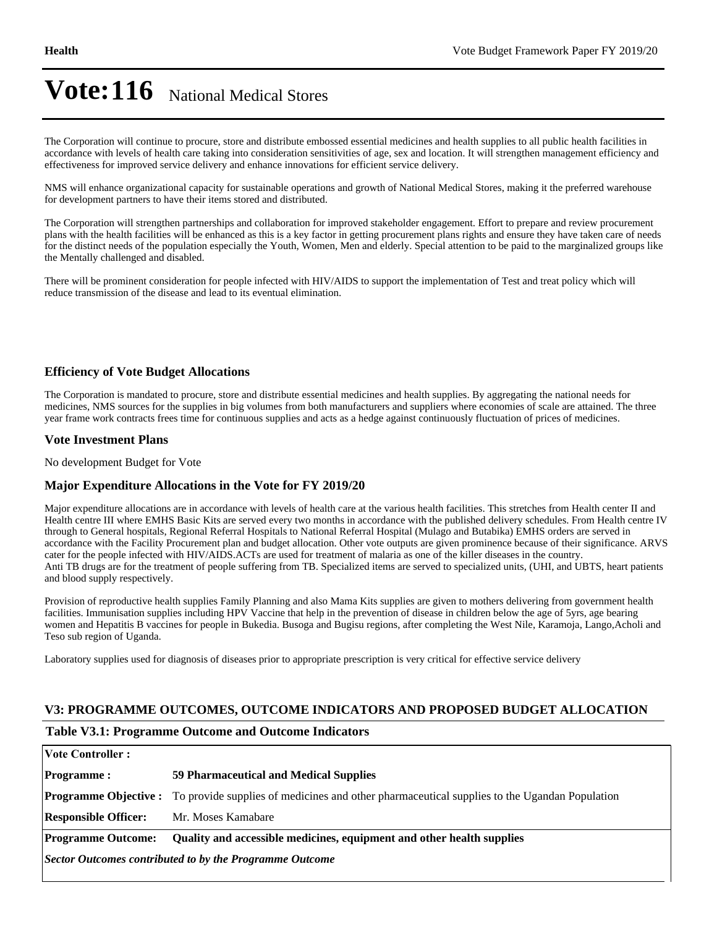## Vote: 116 National Medical Stores

The Corporation will continue to procure, store and distribute embossed essential medicines and health supplies to all public health facilities in accordance with levels of health care taking into consideration sensitivities of age, sex and location. It will strengthen management efficiency and effectiveness for improved service delivery and enhance innovations for efficient service delivery.

NMS will enhance organizational capacity for sustainable operations and growth of National Medical Stores, making it the preferred warehouse for development partners to have their items stored and distributed.

The Corporation will strengthen partnerships and collaboration for improved stakeholder engagement. Effort to prepare and review procurement plans with the health facilities will be enhanced as this is a key factor in getting procurement plans rights and ensure they have taken care of needs for the distinct needs of the population especially the Youth, Women, Men and elderly. Special attention to be paid to the marginalized groups like the Mentally challenged and disabled.

There will be prominent consideration for people infected with HIV/AIDS to support the implementation of Test and treat policy which will reduce transmission of the disease and lead to its eventual elimination.

#### **Efficiency of Vote Budget Allocations**

The Corporation is mandated to procure, store and distribute essential medicines and health supplies. By aggregating the national needs for medicines, NMS sources for the supplies in big volumes from both manufacturers and suppliers where economies of scale are attained. The three year frame work contracts frees time for continuous supplies and acts as a hedge against continuously fluctuation of prices of medicines.

#### **Vote Investment Plans**

No development Budget for Vote

#### **Major Expenditure Allocations in the Vote for FY 2019/20**

Major expenditure allocations are in accordance with levels of health care at the various health facilities. This stretches from Health center II and Health centre III where EMHS Basic Kits are served every two months in accordance with the published delivery schedules. From Health centre IV through to General hospitals, Regional Referral Hospitals to National Referral Hospital (Mulago and Butabika) EMHS orders are served in accordance with the Facility Procurement plan and budget allocation. Other vote outputs are given prominence because of their significance. ARVS cater for the people infected with HIV/AIDS.ACTs are used for treatment of malaria as one of the killer diseases in the country. Anti TB drugs are for the treatment of people suffering from TB. Specialized items are served to specialized units, (UHI, and UBTS, heart patients and blood supply respectively.

Provision of reproductive health supplies Family Planning and also Mama Kits supplies are given to mothers delivering from government health facilities. Immunisation supplies including HPV Vaccine that help in the prevention of disease in children below the age of 5yrs, age bearing women and Hepatitis B vaccines for people in Bukedia. Busoga and Bugisu regions, after completing the West Nile, Karamoja, Lango,Acholi and Teso sub region of Uganda.

Laboratory supplies used for diagnosis of diseases prior to appropriate prescription is very critical for effective service delivery

#### **V3: PROGRAMME OUTCOMES, OUTCOME INDICATORS AND PROPOSED BUDGET ALLOCATION**

#### **Table V3.1: Programme Outcome and Outcome Indicators**

| <b>Vote Controller:</b>                                 |                                                                                                                           |  |  |  |
|---------------------------------------------------------|---------------------------------------------------------------------------------------------------------------------------|--|--|--|
| <b>Programme:</b>                                       | 59 Pharmaceutical and Medical Supplies                                                                                    |  |  |  |
|                                                         | <b>Programme Objective :</b> To provide supplies of medicines and other pharmaceutical supplies to the Ugandan Population |  |  |  |
| <b>Responsible Officer:</b>                             | Mr. Moses Kamabare                                                                                                        |  |  |  |
| <b>Programme Outcome:</b>                               | Quality and accessible medicines, equipment and other health supplies                                                     |  |  |  |
| Sector Outcomes contributed to by the Programme Outcome |                                                                                                                           |  |  |  |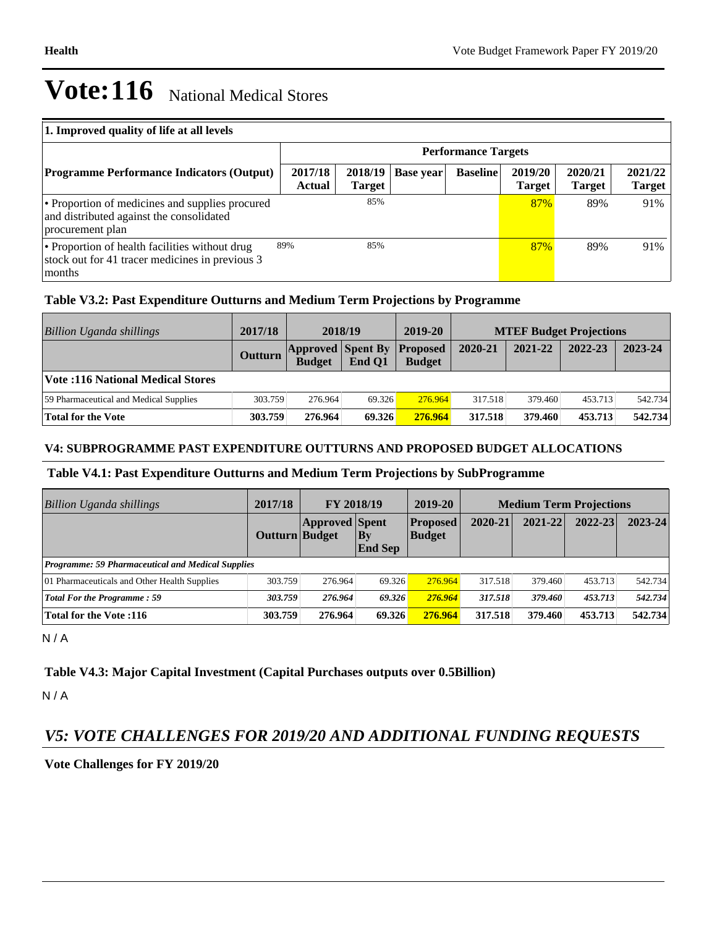# **Vote:116** National Medical Stores

| 1. Improved quality of life at all levels                                                                       |                   |                            |                  |                 |                          |                          |                          |  |  |
|-----------------------------------------------------------------------------------------------------------------|-------------------|----------------------------|------------------|-----------------|--------------------------|--------------------------|--------------------------|--|--|
|                                                                                                                 |                   | <b>Performance Targets</b> |                  |                 |                          |                          |                          |  |  |
| <b>Programme Performance Indicators (Output)</b>                                                                | 2017/18<br>Actual | 2018/19<br><b>Target</b>   | <b>Base year</b> | <b>Baseline</b> | 2019/20<br><b>Target</b> | 2020/21<br><b>Target</b> | 2021/22<br><b>Target</b> |  |  |
| • Proportion of medicines and supplies procured<br>and distributed against the consolidated<br>procurement plan |                   | 85%                        |                  |                 | 87%                      | 89%                      | 91%                      |  |  |
| • Proportion of health facilities without drug<br>stock out for 41 tracer medicines in previous 3<br>months     | 89%               | 85%                        |                  |                 | 87%                      | 89%                      | 91%                      |  |  |

## **Table V3.2: Past Expenditure Outturns and Medium Term Projections by Programme**

| Billion Uganda shillings               | 2017/18        | 2018/19                                   |        | 2019-20                          | <b>MTEF Budget Projections</b> |         |         |         |
|----------------------------------------|----------------|-------------------------------------------|--------|----------------------------------|--------------------------------|---------|---------|---------|
|                                        | <b>Outturn</b> | <b>Approved Spent By</b><br><b>Budget</b> | End O1 | <b>Proposed</b><br><b>Budget</b> | 2020-21                        | 2021-22 | 2022-23 | 2023-24 |
| Vote: 116 National Medical Stores      |                |                                           |        |                                  |                                |         |         |         |
| 59 Pharmaceutical and Medical Supplies | 303.759        | 276.964                                   | 69.326 | 276.964                          | 317.518                        | 379.460 | 453.713 | 542.734 |
| Total for the Vote                     | 303.759        | 276.964                                   | 69.326 | 276.964                          | 317.518                        | 379.460 | 453.713 | 542.734 |

## **V4: SUBPROGRAMME PAST EXPENDITURE OUTTURNS AND PROPOSED BUDGET ALLOCATIONS**

## **Table V4.1: Past Expenditure Outturns and Medium Term Projections by SubProgramme**

| Billion Uganda shillings                                 | 2017/18        | <b>FY 2018/19</b>     |                          | 2019-20                          | <b>Medium Term Projections</b> |             |             |             |
|----------------------------------------------------------|----------------|-----------------------|--------------------------|----------------------------------|--------------------------------|-------------|-------------|-------------|
|                                                          | Outturn Budget | <b>Approved Spent</b> | $ $ By<br><b>End Sep</b> | <b>Proposed</b><br><b>Budget</b> | 2020-21                        | $2021 - 22$ | $2022 - 23$ | $2023 - 24$ |
| <b>Programme: 59 Pharmaceutical and Medical Supplies</b> |                |                       |                          |                                  |                                |             |             |             |
| 01 Pharmaceuticals and Other Health Supplies             | 303.759        | 276.964               | 69.326                   | 276.964                          | 317.518                        | 379.460     | 453.713     | 542.734     |
| <b>Total For the Programme: 59</b>                       | 303.759        | 276.964               | 69.326                   | 276.964                          | 317.518                        | 379.460     | 453.713     | 542.734     |
| <b>Total for the Vote:116</b>                            | 303.759        | 276.964               | 69.326                   | 276.964                          | 317.518                        | 379.460     | 453.713     | 542.734     |

N / A

## **Table V4.3: Major Capital Investment (Capital Purchases outputs over 0.5Billion)**

N / A

## *V5: VOTE CHALLENGES FOR 2019/20 AND ADDITIONAL FUNDING REQUESTS*

## **Vote Challenges for FY 2019/20**